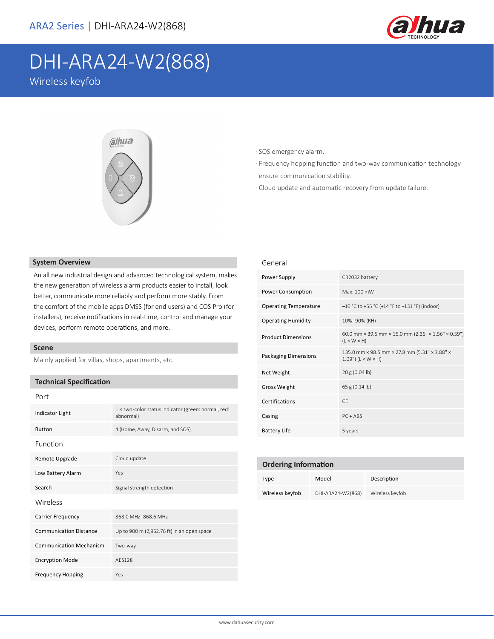

# DHI-ARA24-W2(868)

Wireless keyfob



#### · SOS emergency alarm.

- · Frequency hopping function and two-way communication technology ensure communication stability.
- · Cloud update and automatic recovery from update failure.

### **System Overview**

An all new industrial design and advanced technological system, makes the new generation of wireless alarm products easier to install, look better, communicate more reliably and perform more stably. From the comfort of the mobile apps DMSS (for end users) and COS Pro (for installers), receive notifications in real-time, control and manage your devices, perform remote operations, and more.

## **Scene**

Mainly applied for villas, shops, apartments, etc.

# **Technical Specification**

| Port                           |                                                                  |  |
|--------------------------------|------------------------------------------------------------------|--|
| <b>Indicator Light</b>         | 1 x two-color status indicator (green: normal, red:<br>abnormal) |  |
| <b>Button</b>                  | 4 (Home, Away, Disarm, and SOS)                                  |  |
| Function                       |                                                                  |  |
| Remote Upgrade                 | Cloud update                                                     |  |
| Low Battery Alarm              | Yes                                                              |  |
| Search                         | Signal strength detection                                        |  |
| Wireless                       |                                                                  |  |
| <b>Carrier Frequency</b>       | 868.0 MHz-868.6 MHz                                              |  |
| <b>Communication Distance</b>  | Up to 900 m (2,952.76 ft) in an open space                       |  |
| <b>Communication Mechanism</b> | Two-way                                                          |  |
| <b>Encryption Mode</b>         | AFS128                                                           |  |
| <b>Frequency Hopping</b>       | Yes                                                              |  |

#### General

| Power Supply                 | CR2032 battery                                                                 |  |
|------------------------------|--------------------------------------------------------------------------------|--|
| Power Consumption            | Max. 100 mW                                                                    |  |
| <b>Operating Temperature</b> | $-10$ °C to +55 °C (+14 °F to +131 °F) (indoor)                                |  |
| <b>Operating Humidity</b>    | 10%-90% (RH)                                                                   |  |
| <b>Product Dimensions</b>    | 60.0 mm × 39.5 mm × 15.0 mm (2.36" × 1.56" × 0.59")<br>$(L \times W \times H)$ |  |
| <b>Packaging Dimensions</b>  | 135.0 mm × 98.5 mm × 27.8 mm (5.31" × 3.88" ×<br>$1.09"$ (L × W × H)           |  |
| Net Weight                   | 20 g (0.04 lb)                                                                 |  |
| Gross Weight                 | 65 g (0.14 lb)                                                                 |  |
| Certifications               | CF.                                                                            |  |
| Casing                       | $PC + ABS$                                                                     |  |
| <b>Battery Life</b>          | 5 years                                                                        |  |

| <b>Ordering Information</b> |                   |                 |  |
|-----------------------------|-------------------|-----------------|--|
| <b>Type</b>                 | Model             | Description     |  |
| Wireless keyfob             | DHI-ARA24-W2(868) | Wireless keyfob |  |